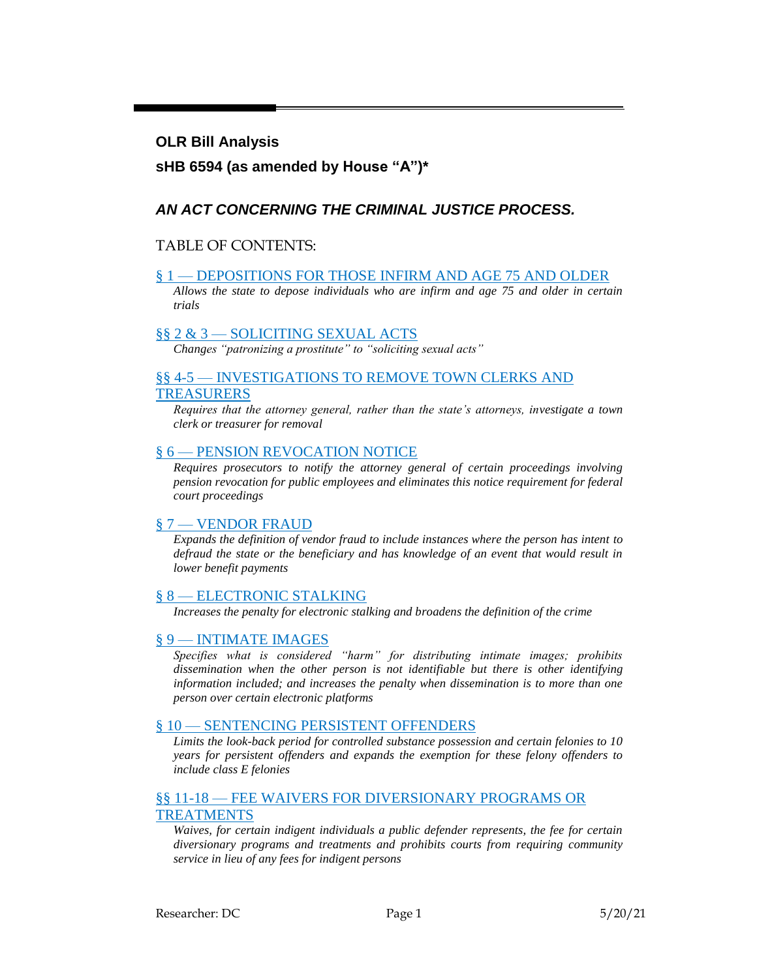### **OLR Bill Analysis**

## **sHB 6594 (as amended by House "A")\***

## *AN ACT CONCERNING THE CRIMINAL JUSTICE PROCESS.*

### TABLE OF CONTENTS:

### § 1 — [DEPOSITIONS FOR THOSE INFIRM AND AGE 75 AND OLDER](#page-1-0)

*[Allows the state to depose individuals who are infirm and age 75 and older in certain](#page-1-1)  [trials](#page-1-1)*

#### §§ 2 & 3 — [SOLICITING SEXUAL ACTS](#page-2-0)

*[Changes "patronizing a prostitute" to "soliciting sexual acts"](#page-2-1)*

### §§ 4-5 — [INVESTIGATIONS TO REMOVE TOWN CLERKS AND](#page-2-2) [TREASURERS](#page-2-2)

*[Requires that the attorney general, rather than the state's attorneys, investigate a town](#page-2-3)  [clerk or treasurer for removal](#page-2-3)*

### § 6 — [PENSION REVOCATION NOTICE](#page-2-4)

*[Requires prosecutors to notify the attorney general of certain proceedings involving](#page-2-5)  [pension revocation for public employees and eliminates this notice requirement for federal](#page-2-5)  [court proceedings](#page-2-5)*

### § 7 — [VENDOR FRAUD](#page-2-6)

*[Expands the definition of vendor fraud to include instances where the person has intent](#page-2-7) to [defraud the state or the beneficiary and has knowledge of an event that would result in](#page-2-7)  [lower benefit payments](#page-2-7)*

### § 8 — [ELECTRONIC STALKING](#page-3-0)

*[Increases the penalty for electronic stalking and broadens the definition of the crime](#page-3-1)*

### § 9 — [INTIMATE IMAGES](#page-4-0)

*[Specifies what is considered "harm" for distributing intimate images; prohibits](#page-4-1)  [dissemination when the other person is not identifiable but there is other identifying](#page-4-1)  [information included; and increases the penalty when dissemination is to more than one](#page-4-1)  [person over certain electronic platforms](#page-4-1)*

### § 10 — [SENTENCING PERSISTENT OFFENDERS](#page-5-0)

*[Limits the look-back period for controlled substance possession and certain felonies to 10](#page-5-1)  [years for persistent offenders and expands the exemption for these felony offenders to](#page-5-1)  [include class E felonies](#page-5-1)*

### §§ 11-18 — [FEE WAIVERS FOR DIVERSIONARY PROGRAMS OR](#page-6-0) [TREATMENTS](#page-6-0)

*[Waives, for certain indigent individuals a public defender represents, the fee for certain](#page-6-1)  [diversionary programs and treatments and prohibits courts from requiring community](#page-6-1)  [service in lieu of any fees for indigent persons](#page-6-1)*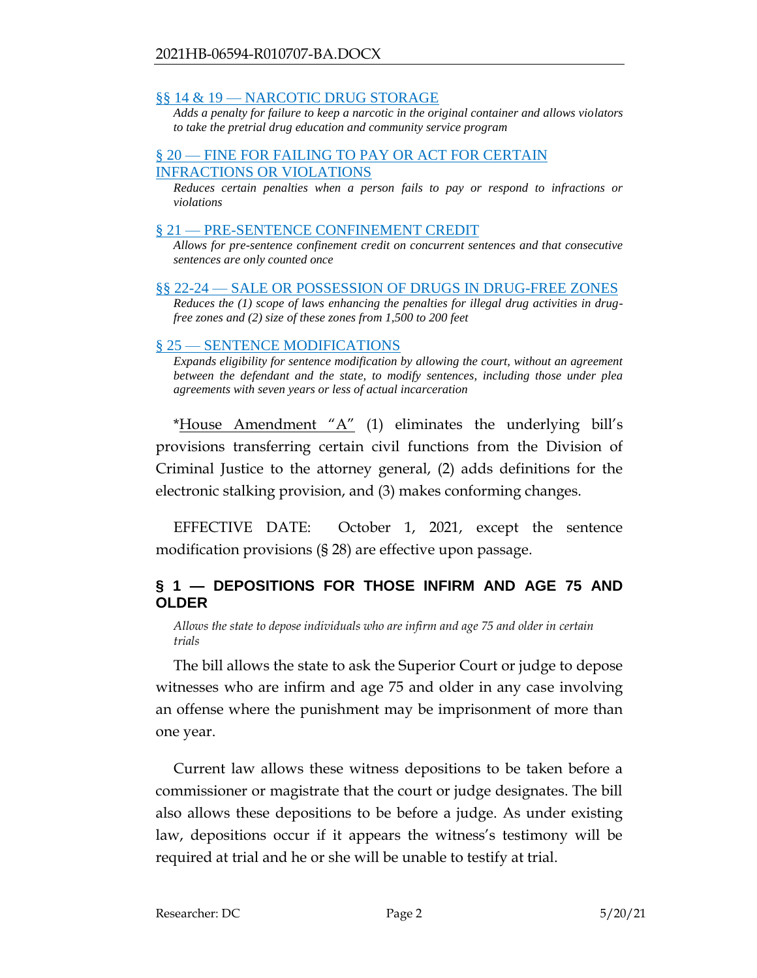### §§ 14 & 19 — [NARCOTIC DRUG STORAGE](#page-7-0)

*[Adds a penalty for failure to keep a narcotic in the original container and allows violators](#page-7-1)  [to take the pretrial drug education and community service program](#page-7-1)*

### § 20 — FINE FOR FAILING TO PAY OR ACT FOR CERTAIN [INFRACTIONS OR VIOLATIONS](#page-8-0)

*[Reduces certain penalties when a person fails to pay or respond to infractions or](#page-8-1)  [violations](#page-8-1)*

### § 21 — [PRE-SENTENCE CONFINEMENT](#page-8-2) CREDIT

*[Allows for pre-sentence confinement credit on concurrent sentences and that consecutive](#page-8-3)  [sentences are only counted once](#page-8-3)*

§§ 22-24 — [SALE OR POSSESSION OF DRUGS IN DRUG-FREE ZONES](#page-9-0)

*[Reduces the \(1\) scope of laws enhancing the penalties for illegal drug activities in drug](#page-9-1)[free zones and \(2\) size of these zones from 1,500 to 200 feet](#page-9-1)*

### § 25 — [SENTENCE MODIFICATIONS](#page-11-0)

*[Expands eligibility for sentence modification by allowing the court, without an agreement](#page-11-1)  [between the defendant and the state, to modify sentences, including those under plea](#page-11-1)  [agreements with seven years or less of actual incarceration](#page-11-1)*

\*House Amendment  $'A''$  (1) eliminates the underlying bill's provisions transferring certain civil functions from the Division of Criminal Justice to the attorney general, (2) adds definitions for the electronic stalking provision, and (3) makes conforming changes.

EFFECTIVE DATE: October 1, 2021, except the sentence modification provisions (§ 28) are effective upon passage.

# <span id="page-1-0"></span>**§ 1 — DEPOSITIONS FOR THOSE INFIRM AND AGE 75 AND OLDER**

<span id="page-1-1"></span>*Allows the state to depose individuals who are infirm and age 75 and older in certain trials* 

The bill allows the state to ask the Superior Court or judge to depose witnesses who are infirm and age 75 and older in any case involving an offense where the punishment may be imprisonment of more than one year.

Current law allows these witness depositions to be taken before a commissioner or magistrate that the court or judge designates. The bill also allows these depositions to be before a judge. As under existing law, depositions occur if it appears the witness's testimony will be required at trial and he or she will be unable to testify at trial.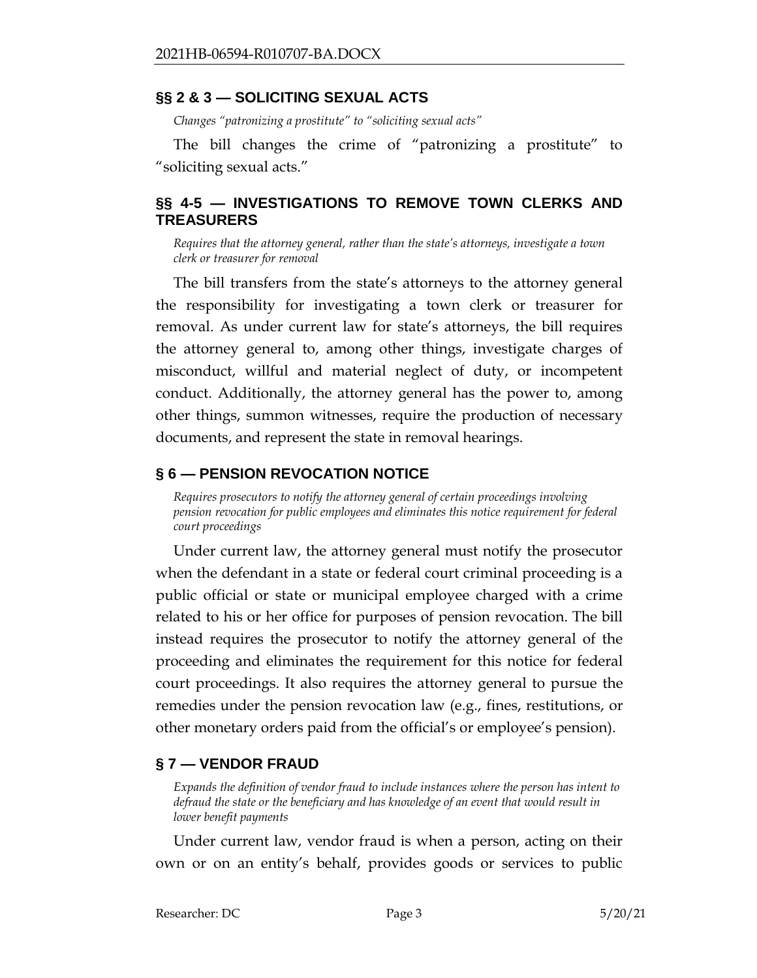## <span id="page-2-0"></span>**§§ 2 & 3 — SOLICITING SEXUAL ACTS**

<span id="page-2-1"></span>*Changes "patronizing a prostitute" to "soliciting sexual acts"*

The bill changes the crime of "patronizing a prostitute" to "soliciting sexual acts."

# <span id="page-2-2"></span>**§§ 4-5 — INVESTIGATIONS TO REMOVE TOWN CLERKS AND TREASURERS**

<span id="page-2-3"></span>*Requires that the attorney general, rather than the state's attorneys, investigate a town clerk or treasurer for removal*

The bill transfers from the state's attorneys to the attorney general the responsibility for investigating a town clerk or treasurer for removal. As under current law for state's attorneys, the bill requires the attorney general to, among other things, investigate charges of misconduct, willful and material neglect of duty, or incompetent conduct. Additionally, the attorney general has the power to, among other things, summon witnesses, require the production of necessary documents, and represent the state in removal hearings.

# <span id="page-2-4"></span>**§ 6 — PENSION REVOCATION NOTICE**

<span id="page-2-5"></span>*Requires prosecutors to notify the attorney general of certain proceedings involving pension revocation for public employees and eliminates this notice requirement for federal court proceedings*

Under current law, the attorney general must notify the prosecutor when the defendant in a state or federal court criminal proceeding is a public official or state or municipal employee charged with a crime related to his or her office for purposes of pension revocation. The bill instead requires the prosecutor to notify the attorney general of the proceeding and eliminates the requirement for this notice for federal court proceedings. It also requires the attorney general to pursue the remedies under the pension revocation law (e.g., fines, restitutions, or other monetary orders paid from the official's or employee's pension).

# <span id="page-2-6"></span>**§ 7 — VENDOR FRAUD**

<span id="page-2-7"></span>*Expands the definition of vendor fraud to include instances where the person has intent to defraud the state or the beneficiary and has knowledge of an event that would result in lower benefit payments* 

Under current law, vendor fraud is when a person, acting on their own or on an entity's behalf, provides goods or services to public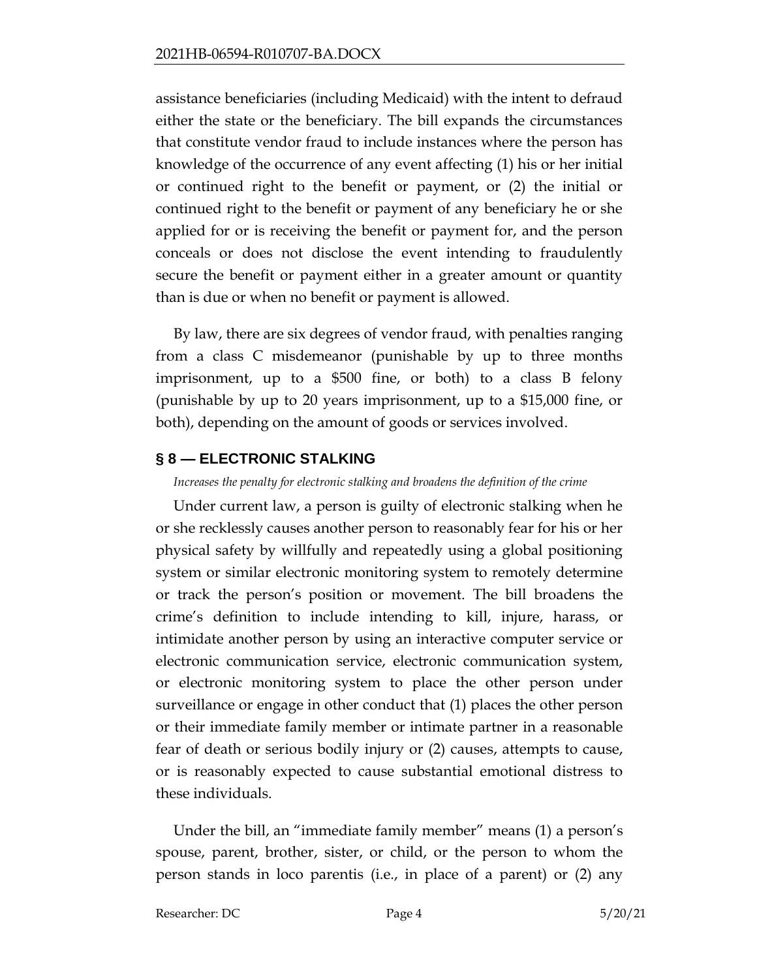assistance beneficiaries (including Medicaid) with the intent to defraud either the state or the beneficiary. The bill expands the circumstances that constitute vendor fraud to include instances where the person has knowledge of the occurrence of any event affecting (1) his or her initial or continued right to the benefit or payment, or (2) the initial or continued right to the benefit or payment of any beneficiary he or she applied for or is receiving the benefit or payment for, and the person conceals or does not disclose the event intending to fraudulently secure the benefit or payment either in a greater amount or quantity than is due or when no benefit or payment is allowed.

By law, there are six degrees of vendor fraud, with penalties ranging from a class C misdemeanor (punishable by up to three months imprisonment, up to a \$500 fine, or both) to a class B felony (punishable by up to 20 years imprisonment, up to a \$15,000 fine, or both), depending on the amount of goods or services involved.

# <span id="page-3-0"></span>**§ 8 — ELECTRONIC STALKING**

<span id="page-3-1"></span>*Increases the penalty for electronic stalking and broadens the definition of the crime*

Under current law, a person is guilty of electronic stalking when he or she recklessly causes another person to reasonably fear for his or her physical safety by willfully and repeatedly using a global positioning system or similar electronic monitoring system to remotely determine or track the person's position or movement. The bill broadens the crime's definition to include intending to kill, injure, harass, or intimidate another person by using an interactive computer service or electronic communication service, electronic communication system, or electronic monitoring system to place the other person under surveillance or engage in other conduct that (1) places the other person or their immediate family member or intimate partner in a reasonable fear of death or serious bodily injury or (2) causes, attempts to cause, or is reasonably expected to cause substantial emotional distress to these individuals.

Under the bill, an "immediate family member" means (1) a person's spouse, parent, brother, sister, or child, or the person to whom the person stands in loco parentis (i.e., in place of a parent) or (2) any

Researcher: DC Page 4 5/20/21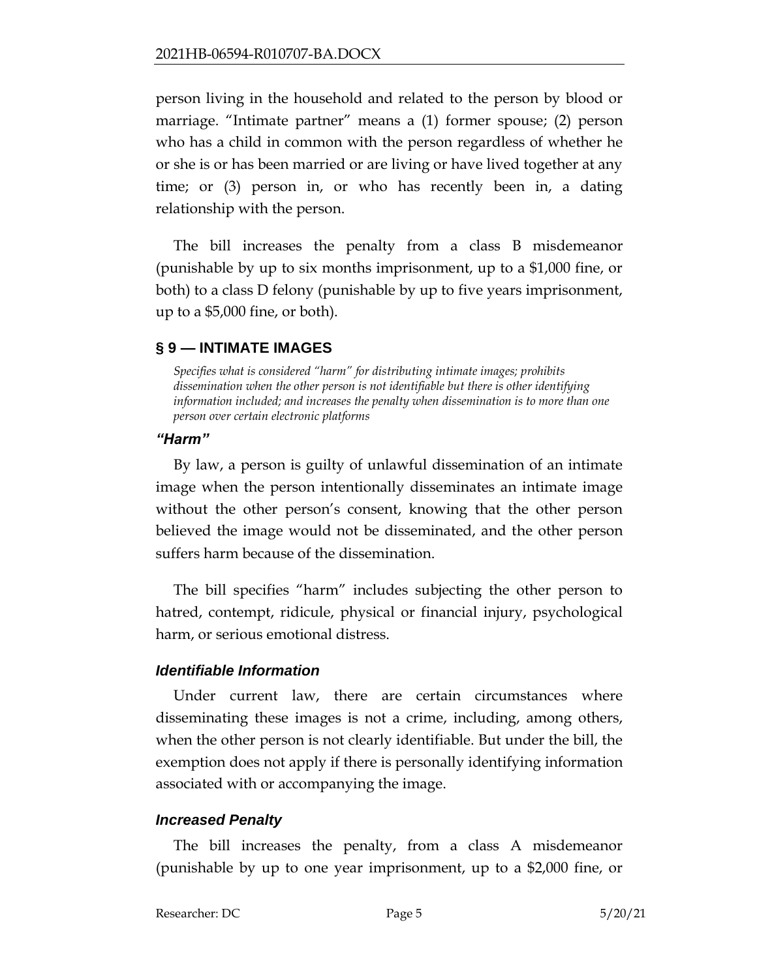person living in the household and related to the person by blood or marriage. "Intimate partner" means a (1) former spouse; (2) person who has a child in common with the person regardless of whether he or she is or has been married or are living or have lived together at any time; or (3) person in, or who has recently been in, a dating relationship with the person.

The bill increases the penalty from a class B misdemeanor (punishable by up to six months imprisonment, up to a \$1,000 fine, or both) to a class D felony (punishable by up to five years imprisonment, up to a \$5,000 fine, or both).

# <span id="page-4-0"></span>**§ 9 — INTIMATE IMAGES**

<span id="page-4-1"></span>*Specifies what is considered "harm" for distributing intimate images; prohibits dissemination when the other person is not identifiable but there is other identifying information included; and increases the penalty when dissemination is to more than one person over certain electronic platforms*

## *"Harm"*

By law, a person is guilty of unlawful dissemination of an intimate image when the person intentionally disseminates an intimate image without the other person's consent, knowing that the other person believed the image would not be disseminated, and the other person suffers harm because of the dissemination.

The bill specifies "harm" includes subjecting the other person to hatred, contempt, ridicule, physical or financial injury, psychological harm, or serious emotional distress.

# *Identifiable Information*

Under current law, there are certain circumstances where disseminating these images is not a crime, including, among others, when the other person is not clearly identifiable. But under the bill, the exemption does not apply if there is personally identifying information associated with or accompanying the image.

# *Increased Penalty*

The bill increases the penalty, from a class A misdemeanor (punishable by up to one year imprisonment, up to a \$2,000 fine, or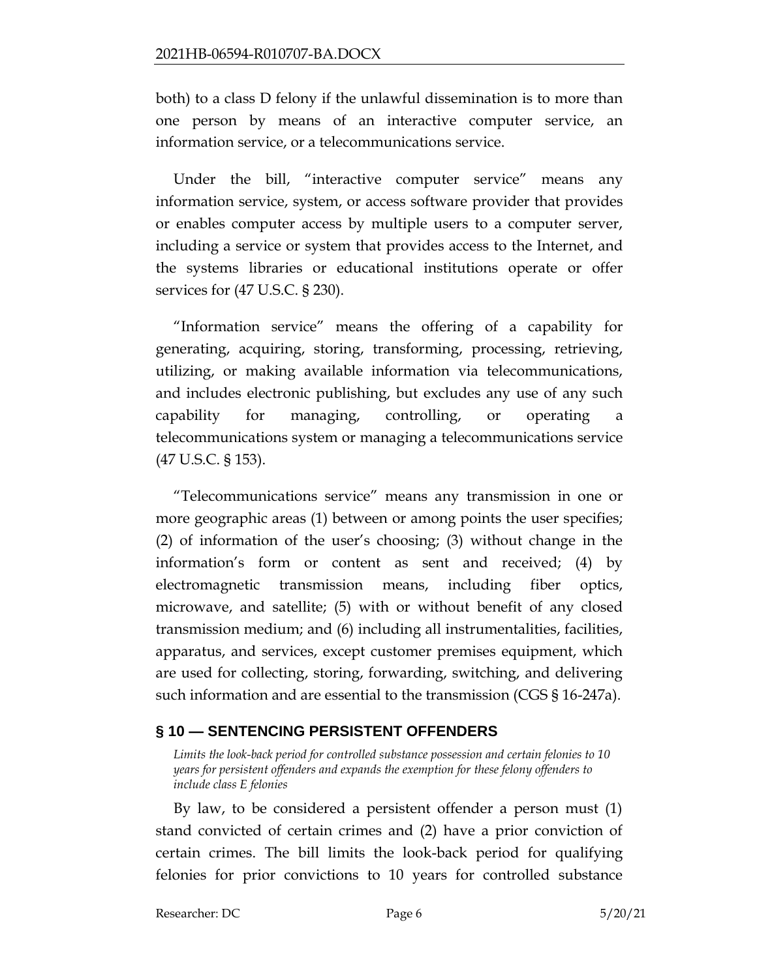both) to a class D felony if the unlawful dissemination is to more than one person by means of an interactive computer service, an information service, or a telecommunications service.

Under the bill, "interactive computer service" means any information service, system, or access software provider that provides or enables computer access by multiple users to a computer server, including a service or system that provides access to the Internet, and the systems libraries or educational institutions operate or offer services for (47 U.S.C. § 230).

"Information service" means the offering of a capability for generating, acquiring, storing, transforming, processing, retrieving, utilizing, or making available information via telecommunications, and includes electronic publishing, but excludes any use of any such capability for managing, controlling, or operating a telecommunications system or managing a telecommunications service (47 U.S.C. § 153).

"Telecommunications service" means any transmission in one or more geographic areas (1) between or among points the user specifies; (2) of information of the user's choosing; (3) without change in the information's form or content as sent and received; (4) by electromagnetic transmission means, including fiber optics, microwave, and satellite; (5) with or without benefit of any closed transmission medium; and (6) including all instrumentalities, facilities, apparatus, and services, except customer premises equipment, which are used for collecting, storing, forwarding, switching, and delivering such information and are essential to the transmission (CGS § 16-247a).

# <span id="page-5-0"></span>**§ 10 — SENTENCING PERSISTENT OFFENDERS**

<span id="page-5-1"></span>*Limits the look-back period for controlled substance possession and certain felonies to 10 years for persistent offenders and expands the exemption for these felony offenders to include class E felonies*

By law, to be considered a persistent offender a person must (1) stand convicted of certain crimes and (2) have a prior conviction of certain crimes. The bill limits the look-back period for qualifying felonies for prior convictions to 10 years for controlled substance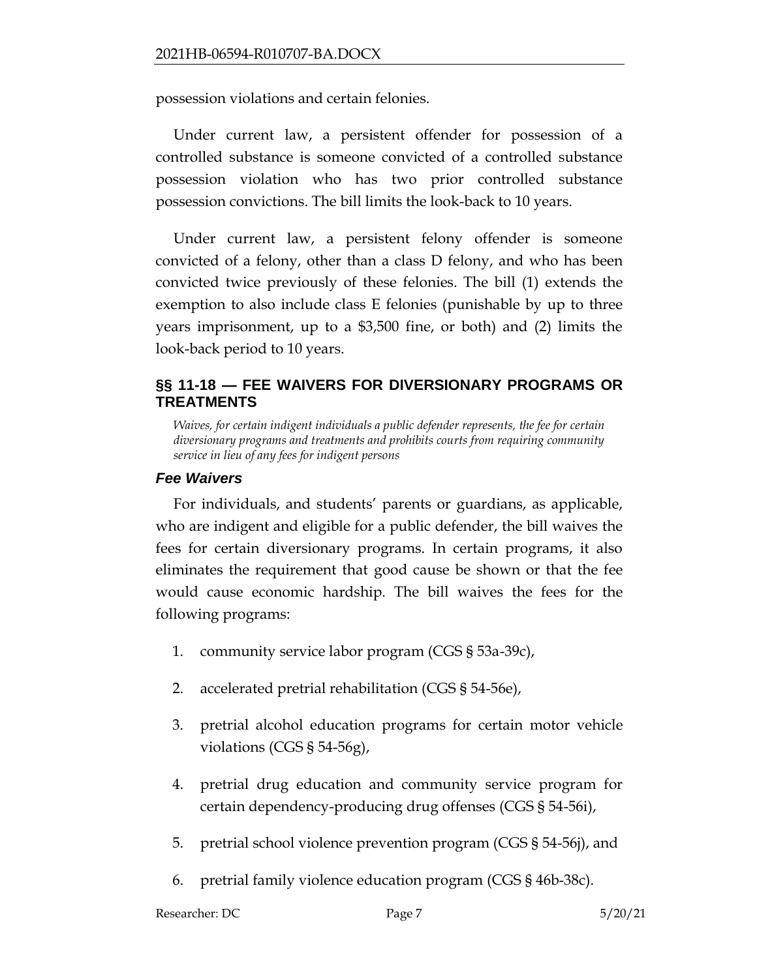possession violations and certain felonies.

Under current law, a persistent offender for possession of a controlled substance is someone convicted of a controlled substance possession violation who has two prior controlled substance possession convictions. The bill limits the look-back to 10 years.

Under current law, a persistent felony offender is someone convicted of a felony, other than a class D felony, and who has been convicted twice previously of these felonies. The bill (1) extends the exemption to also include class E felonies (punishable by up to three years imprisonment, up to a \$3,500 fine, or both) and (2) limits the look-back period to 10 years.

# <span id="page-6-0"></span>**§§ 11-18 — FEE WAIVERS FOR DIVERSIONARY PROGRAMS OR TREATMENTS**

<span id="page-6-1"></span>*Waives, for certain indigent individuals a public defender represents, the fee for certain diversionary programs and treatments and prohibits courts from requiring community service in lieu of any fees for indigent persons*

## *Fee Waivers*

For individuals, and students' parents or guardians, as applicable, who are indigent and eligible for a public defender, the bill waives the fees for certain diversionary programs. In certain programs, it also eliminates the requirement that good cause be shown or that the fee would cause economic hardship. The bill waives the fees for the following programs:

- 1. community service labor program (CGS § 53a-39c),
- 2. accelerated pretrial rehabilitation (CGS § 54-56e),
- 3. pretrial alcohol education programs for certain motor vehicle violations (CGS § 54-56g),
- 4. pretrial drug education and community service program for certain dependency-producing drug offenses (CGS § 54-56i),
- 5. pretrial school violence prevention program (CGS § 54-56j), and
- 6. pretrial family violence education program (CGS § 46b-38c).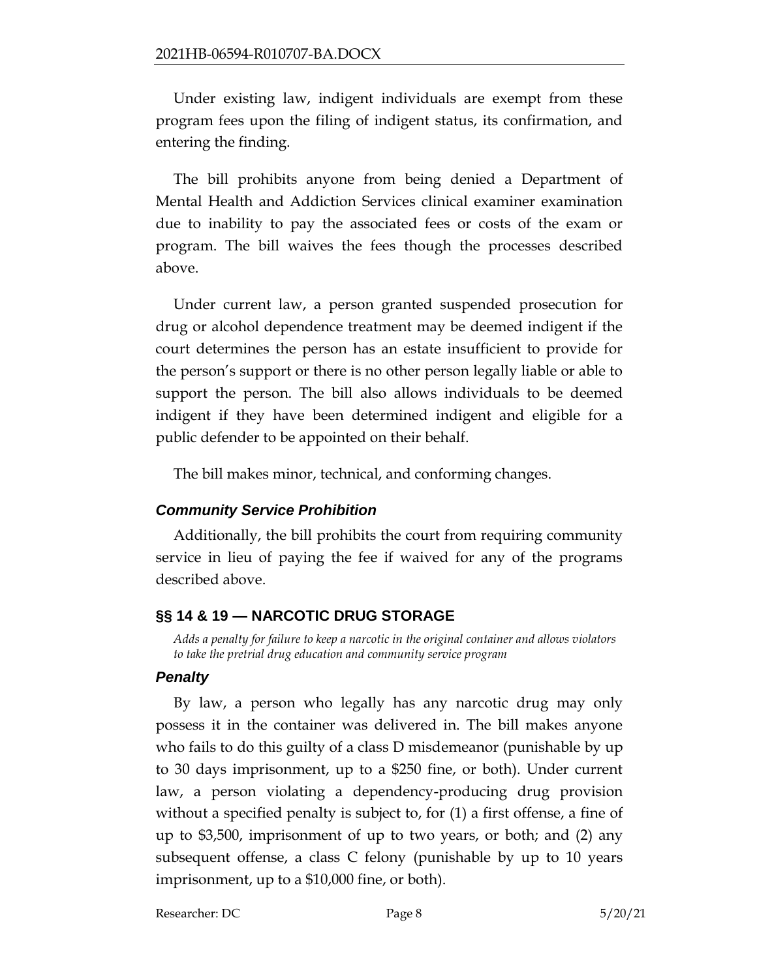Under existing law, indigent individuals are exempt from these program fees upon the filing of indigent status, its confirmation, and entering the finding.

The bill prohibits anyone from being denied a Department of Mental Health and Addiction Services clinical examiner examination due to inability to pay the associated fees or costs of the exam or program. The bill waives the fees though the processes described above.

Under current law, a person granted suspended prosecution for drug or alcohol dependence treatment may be deemed indigent if the court determines the person has an estate insufficient to provide for the person's support or there is no other person legally liable or able to support the person. The bill also allows individuals to be deemed indigent if they have been determined indigent and eligible for a public defender to be appointed on their behalf.

The bill makes minor, technical, and conforming changes.

# *Community Service Prohibition*

Additionally, the bill prohibits the court from requiring community service in lieu of paying the fee if waived for any of the programs described above.

# <span id="page-7-0"></span>**§§ 14 & 19 — NARCOTIC DRUG STORAGE**

<span id="page-7-1"></span>*Adds a penalty for failure to keep a narcotic in the original container and allows violators to take the pretrial drug education and community service program*

# *Penalty*

By law, a person who legally has any narcotic drug may only possess it in the container was delivered in. The bill makes anyone who fails to do this guilty of a class D misdemeanor (punishable by up to 30 days imprisonment, up to a \$250 fine, or both). Under current law, a person violating a dependency-producing drug provision without a specified penalty is subject to, for (1) a first offense, a fine of up to \$3,500, imprisonment of up to two years, or both; and (2) any subsequent offense, a class C felony (punishable by up to 10 years imprisonment, up to a \$10,000 fine, or both).

Researcher: DC Page 8 5/20/21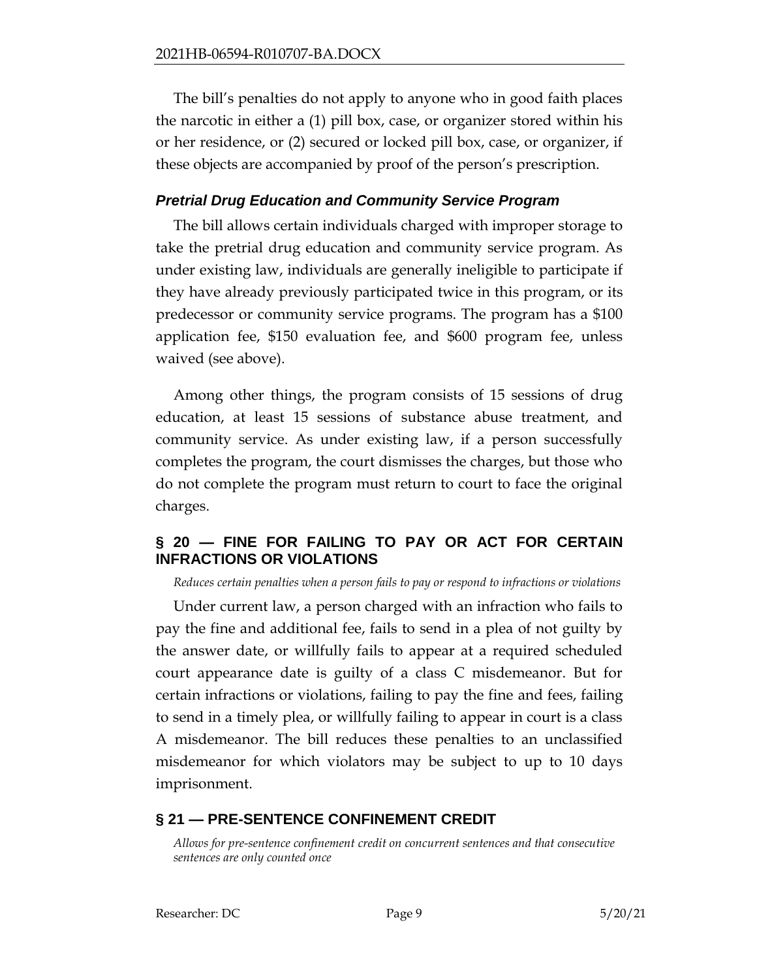The bill's penalties do not apply to anyone who in good faith places the narcotic in either a (1) pill box, case, or organizer stored within his or her residence, or (2) secured or locked pill box, case, or organizer, if these objects are accompanied by proof of the person's prescription.

## *Pretrial Drug Education and Community Service Program*

The bill allows certain individuals charged with improper storage to take the pretrial drug education and community service program. As under existing law, individuals are generally ineligible to participate if they have already previously participated twice in this program, or its predecessor or community service programs. The program has a \$100 application fee, \$150 evaluation fee, and \$600 program fee, unless waived (see above).

Among other things, the program consists of 15 sessions of drug education, at least 15 sessions of substance abuse treatment, and community service. As under existing law, if a person successfully completes the program, the court dismisses the charges, but those who do not complete the program must return to court to face the original charges.

# <span id="page-8-0"></span>**§ 20 — FINE FOR FAILING TO PAY OR ACT FOR CERTAIN INFRACTIONS OR VIOLATIONS**

<span id="page-8-1"></span>*Reduces certain penalties when a person fails to pay or respond to infractions or violations* 

Under current law, a person charged with an infraction who fails to pay the fine and additional fee, fails to send in a plea of not guilty by the answer date, or willfully fails to appear at a required scheduled court appearance date is guilty of a class C misdemeanor. But for certain infractions or violations, failing to pay the fine and fees, failing to send in a timely plea, or willfully failing to appear in court is a class A misdemeanor. The bill reduces these penalties to an unclassified misdemeanor for which violators may be subject to up to 10 days imprisonment.

# <span id="page-8-2"></span>**§ 21 — PRE-SENTENCE CONFINEMENT CREDIT**

<span id="page-8-3"></span>*Allows for pre-sentence confinement credit on concurrent sentences and that consecutive sentences are only counted once*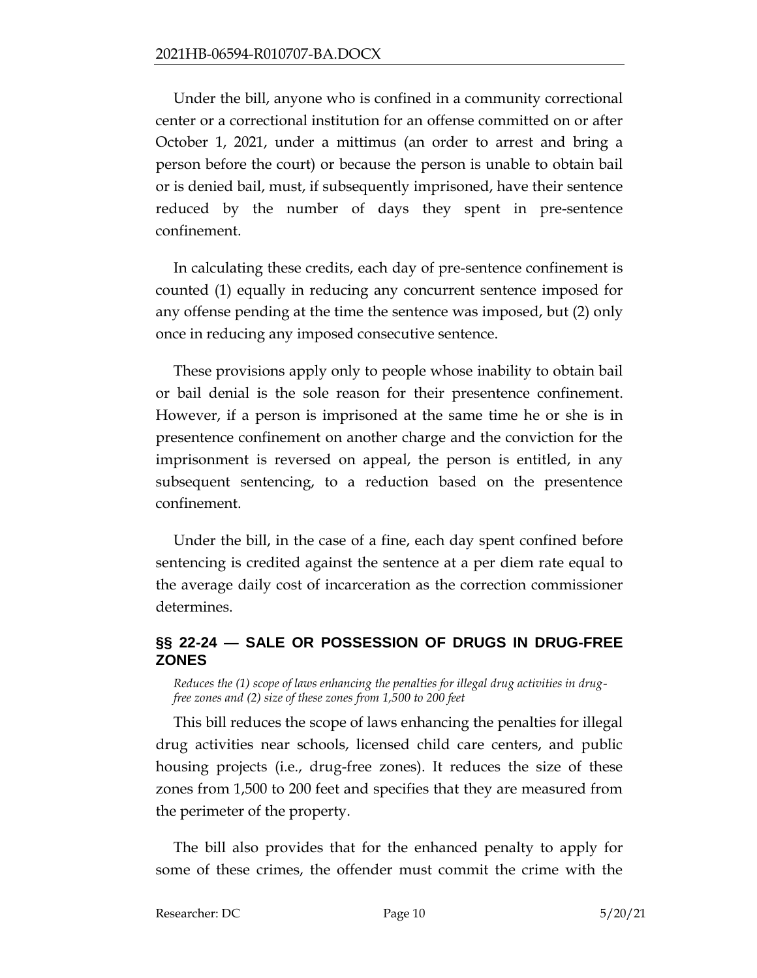Under the bill, anyone who is confined in a community correctional center or a correctional institution for an offense committed on or after October 1, 2021, under a mittimus (an order to arrest and bring a person before the court) or because the person is unable to obtain bail or is denied bail, must, if subsequently imprisoned, have their sentence reduced by the number of days they spent in pre-sentence confinement.

In calculating these credits, each day of pre-sentence confinement is counted (1) equally in reducing any concurrent sentence imposed for any offense pending at the time the sentence was imposed, but (2) only once in reducing any imposed consecutive sentence.

These provisions apply only to people whose inability to obtain bail or bail denial is the sole reason for their presentence confinement. However, if a person is imprisoned at the same time he or she is in presentence confinement on another charge and the conviction for the imprisonment is reversed on appeal, the person is entitled, in any subsequent sentencing, to a reduction based on the presentence confinement.

Under the bill, in the case of a fine, each day spent confined before sentencing is credited against the sentence at a per diem rate equal to the average daily cost of incarceration as the correction commissioner determines.

# <span id="page-9-0"></span>**§§ 22-24 — SALE OR POSSESSION OF DRUGS IN DRUG-FREE ZONES**

<span id="page-9-1"></span>*Reduces the (1) scope of laws enhancing the penalties for illegal drug activities in drugfree zones and (2) size of these zones from 1,500 to 200 feet*

This bill reduces the scope of laws enhancing the penalties for illegal drug activities near schools, licensed child care centers, and public housing projects (i.e., drug-free zones). It reduces the size of these zones from 1,500 to 200 feet and specifies that they are measured from the perimeter of the property.

The bill also provides that for the enhanced penalty to apply for some of these crimes, the offender must commit the crime with the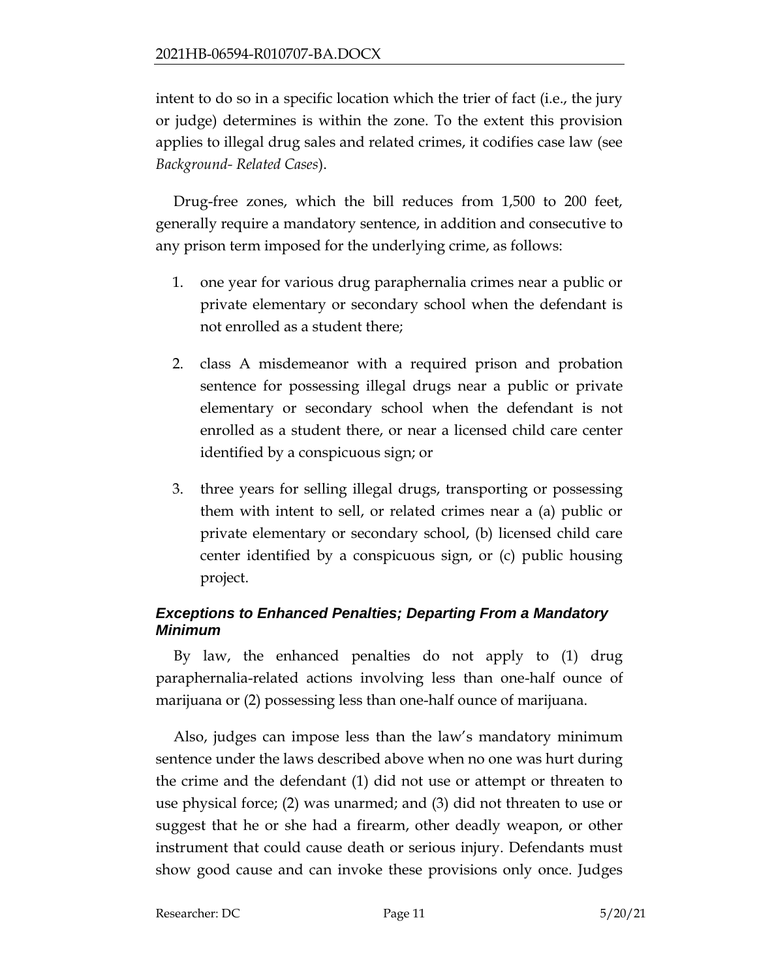intent to do so in a specific location which the trier of fact (i.e., the jury or judge) determines is within the zone. To the extent this provision applies to illegal drug sales and related crimes, it codifies case law (see *Background- Related Cases*).

Drug-free zones, which the bill reduces from 1,500 to 200 feet, generally require a mandatory sentence, in addition and consecutive to any prison term imposed for the underlying crime, as follows:

- 1. one year for various drug paraphernalia crimes near a public or private elementary or secondary school when the defendant is not enrolled as a student there;
- 2. class A misdemeanor with a required prison and probation sentence for possessing illegal drugs near a public or private elementary or secondary school when the defendant is not enrolled as a student there, or near a licensed child care center identified by a conspicuous sign; or
- 3. three years for selling illegal drugs, transporting or possessing them with intent to sell, or related crimes near a (a) public or private elementary or secondary school, (b) licensed child care center identified by a conspicuous sign, or (c) public housing project.

# *Exceptions to Enhanced Penalties; Departing From a Mandatory Minimum*

By law, the enhanced penalties do not apply to (1) drug paraphernalia-related actions involving less than one-half ounce of marijuana or (2) possessing less than one-half ounce of marijuana.

Also, judges can impose less than the law's mandatory minimum sentence under the laws described above when no one was hurt during the crime and the defendant (1) did not use or attempt or threaten to use physical force; (2) was unarmed; and (3) did not threaten to use or suggest that he or she had a firearm, other deadly weapon, or other instrument that could cause death or serious injury. Defendants must show good cause and can invoke these provisions only once. Judges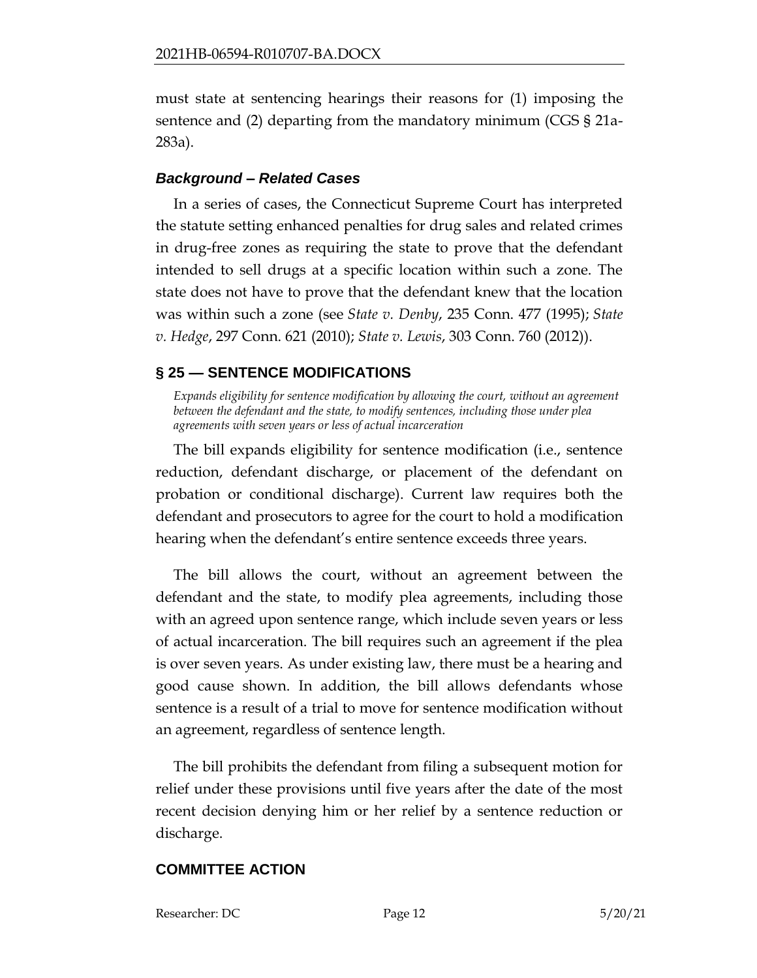must state at sentencing hearings their reasons for (1) imposing the sentence and (2) departing from the mandatory minimum (CGS § 21a-283a).

## *Background – Related Cases*

In a series of cases, the Connecticut Supreme Court has interpreted the statute setting enhanced penalties for drug sales and related crimes in drug-free zones as requiring the state to prove that the defendant intended to sell drugs at a specific location within such a zone. The state does not have to prove that the defendant knew that the location was within such a zone (see *State v. Denby*, 235 Conn. 477 (1995); *State v. Hedge*, 297 Conn. 621 (2010); *State v. Lewis*, 303 Conn. 760 (2012)).

# <span id="page-11-0"></span>**§ 25 — SENTENCE MODIFICATIONS**

<span id="page-11-1"></span>*Expands eligibility for sentence modification by allowing the court, without an agreement between the defendant and the state, to modify sentences, including those under plea agreements with seven years or less of actual incarceration*

The bill expands eligibility for sentence modification (i.e., sentence reduction, defendant discharge, or placement of the defendant on probation or conditional discharge). Current law requires both the defendant and prosecutors to agree for the court to hold a modification hearing when the defendant's entire sentence exceeds three years.

The bill allows the court, without an agreement between the defendant and the state, to modify plea agreements, including those with an agreed upon sentence range, which include seven years or less of actual incarceration. The bill requires such an agreement if the plea is over seven years. As under existing law, there must be a hearing and good cause shown. In addition, the bill allows defendants whose sentence is a result of a trial to move for sentence modification without an agreement, regardless of sentence length.

The bill prohibits the defendant from filing a subsequent motion for relief under these provisions until five years after the date of the most recent decision denying him or her relief by a sentence reduction or discharge.

# **COMMITTEE ACTION**